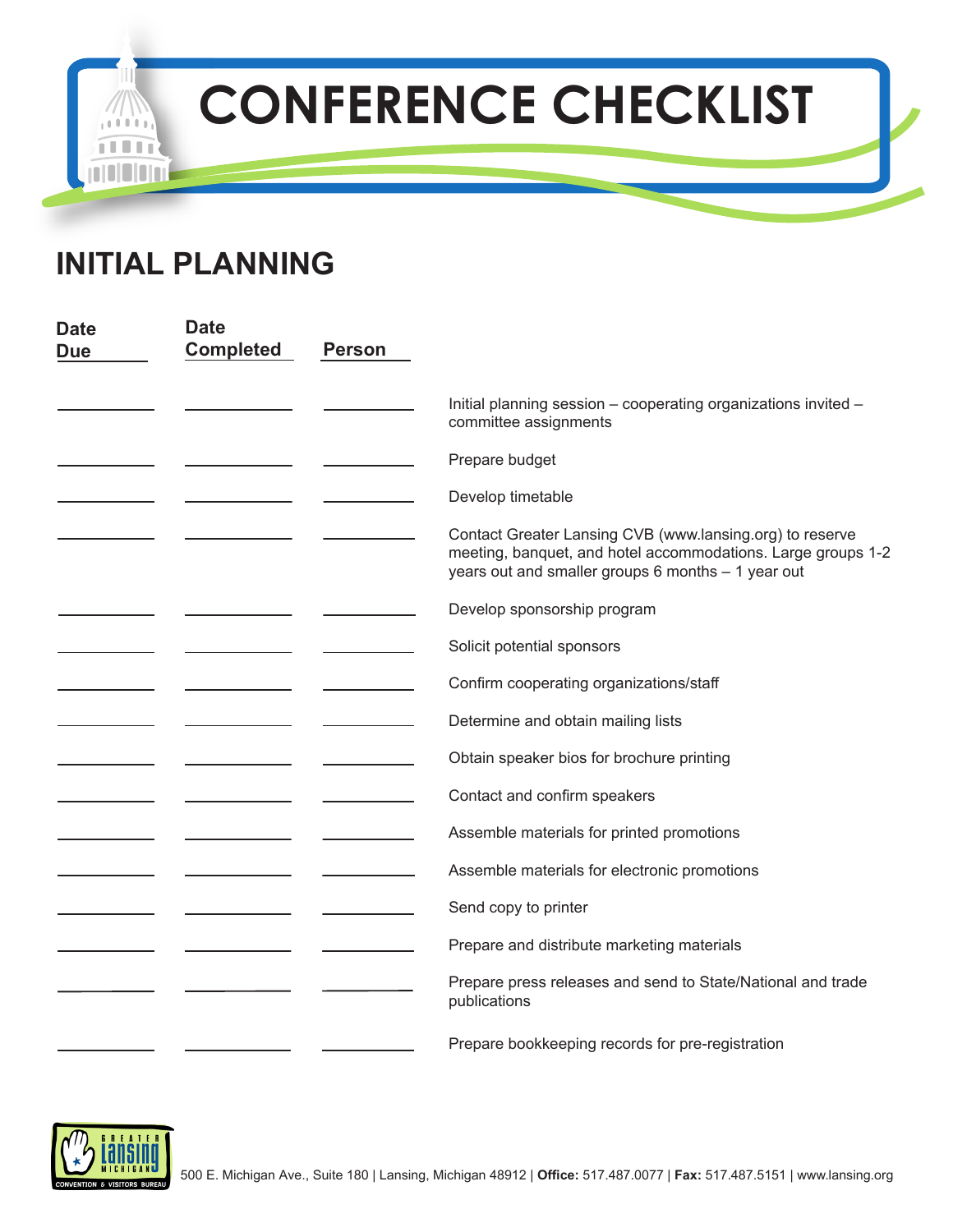



| <b>Date</b><br><b>Due</b> | <b>Date</b><br><b>Completed</b> | <b>Person</b> |                                                                                                                                                                                |
|---------------------------|---------------------------------|---------------|--------------------------------------------------------------------------------------------------------------------------------------------------------------------------------|
|                           |                                 |               |                                                                                                                                                                                |
|                           |                                 |               | Initial planning session - cooperating organizations invited -<br>committee assignments                                                                                        |
|                           |                                 |               | Prepare budget                                                                                                                                                                 |
|                           |                                 |               | Develop timetable                                                                                                                                                              |
|                           |                                 |               | Contact Greater Lansing CVB (www.lansing.org) to reserve<br>meeting, banquet, and hotel accommodations. Large groups 1-2<br>years out and smaller groups 6 months - 1 year out |
|                           |                                 |               | Develop sponsorship program                                                                                                                                                    |
|                           |                                 |               | Solicit potential sponsors                                                                                                                                                     |
|                           |                                 |               | Confirm cooperating organizations/staff                                                                                                                                        |
|                           |                                 |               | Determine and obtain mailing lists                                                                                                                                             |
|                           |                                 |               | Obtain speaker bios for brochure printing                                                                                                                                      |
|                           |                                 |               | Contact and confirm speakers                                                                                                                                                   |
|                           |                                 |               | Assemble materials for printed promotions                                                                                                                                      |
|                           |                                 |               | Assemble materials for electronic promotions                                                                                                                                   |
|                           |                                 |               | Send copy to printer                                                                                                                                                           |
|                           |                                 |               | Prepare and distribute marketing materials                                                                                                                                     |
|                           |                                 |               | Prepare press releases and send to State/National and trade<br>publications                                                                                                    |
|                           |                                 |               | Prepare bookkeeping records for pre-registration                                                                                                                               |